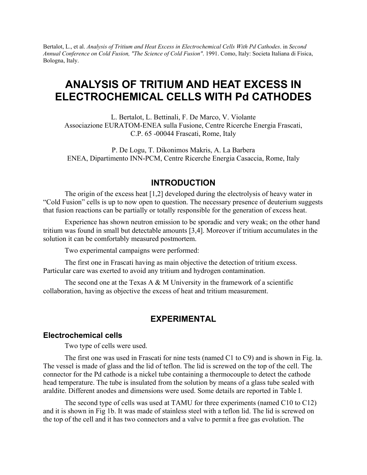Bertalot, L., et al. *Analysis of Tritium and Heat Excess in Electrochemical Cells With Pd Cathodes*. in *Second Annual Conference on Cold Fusion, "The Science of Cold Fusion"*. 1991. Como, Italy: Societa Italiana di Fisica, Bologna, Italy.

# **ANALYSIS OF TRITIUM AND HEAT EXCESS IN ELECTROCHEMICAL CELLS WITH Pd CATHODES**

L. Bertalot, L. Bettinali, F. De Marco, V. Violante Associazione EURATOM-ENEA sulla Fusione, Centre Ricerche Energia Frascati, C.P. 65 -00044 Frascati, Rome, Italy

P. De Logu, T. Dikonimos Makris, A. La Barbera ENEA, Dipartimento INN-PCM, Centre Ricerche Energia Casaccia, Rome, Italy

### **INTRODUCTION**

The origin of the excess heat [1,2] developed during the electrolysis of heavy water in "Cold Fusion" cells is up to now open to question. The necessary presence of deuterium suggests that fusion reactions can be partially or totally responsible for the generation of excess heat.

Experience has shown neutron emission to be sporadic and very weak; on the other hand tritium was found in small but detectable amounts [3,4]. Moreover if tritium accumulates in the solution it can be comfortably measured postmortem.

Two experimental campaigns were performed:

The first one in Frascati having as main objective the detection of tritium excess. Particular care was exerted to avoid any tritium and hydrogen contamination.

The second one at the Texas A  $\&$  M University in the framework of a scientific collaboration, having as objective the excess of heat and tritium measurement.

### **EXPERIMENTAL**

#### **Electrochemical cells**

Two type of cells were used.

The first one was used in Frascati for nine tests (named C1 to C9) and is shown in Fig. la. The vessel is made of glass and the lid of teflon. The lid is screwed on the top of the cell. The connector for the Pd cathode is a nickel tube containing a thermocouple to detect the cathode head temperature. The tube is insulated from the solution by means of a glass tube sealed with araldite. Different anodes and dimensions were used. Some details are reported in Table I.

The second type of cells was used at TAMU for three experiments (named C10 to C12) and it is shown in Fig 1b. It was made of stainless steel with a teflon lid. The lid is screwed on the top of the cell and it has two connectors and a valve to permit a free gas evolution. The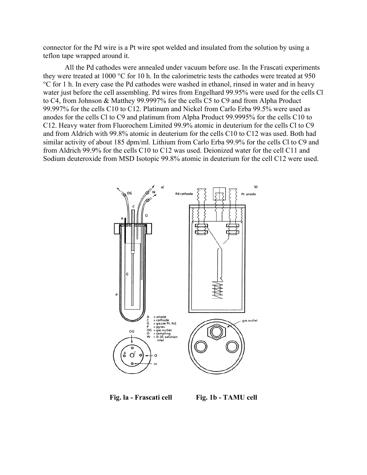connector for the Pd wire is a Pt wire spot welded and insulated from the solution by using a teflon tape wrapped around it.

All the Pd cathodes were annealed under vacuum before use. In the Frascati experiments they were treated at 1000 °C for 10 h. In the calorimetric tests the cathodes were treated at 950 °C for 1 h. In every case the Pd cathodes were washed in ethanol, rinsed in water and in heavy water just before the cell assembling. Pd wires from Engelhard 99.95% were used for the cells Cl to C4, from Johnson & Matthey 99.9997% for the cells C5 to C9 and from Alpha Product 99.997% for the cells C10 to C12. Platinum and Nickel from Carlo Erba 99.5% were used as anodes for the cells Cl to C9 and platinum from Alpha Product 99.9995% for the cells C10 to C12. Heavy water from Fluorochem Limited 99.9% atomic in deuterium for the cells Cl to C9 and from Aldrich with 99.8% atomic in deuterium for the cells C10 to C12 was used. Both had similar activity of about 185 dpm/ml. Lithium from Carlo Erba 99.9% for the cells Cl to C9 and from Aldrich 99.9% for the cells C10 to C12 was used. Deionized water for the cell C11 and Sodium deuteroxide from MSD Isotopic 99.8% atomic in deuterium for the cell C12 were used.



Fig. la - Frascati cell Fig. 1b - TAMU cell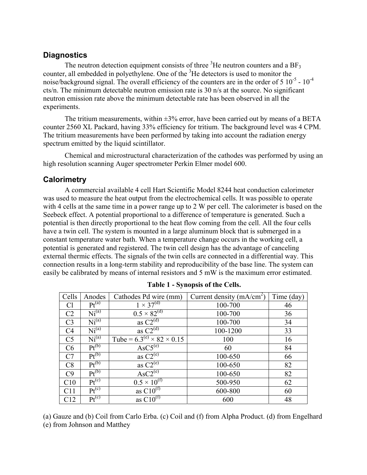### **Diagnostics**

The neutron detection equipment consists of three  ${}^{3}$ He neutron counters and a BF<sub>3</sub> counter, all embedded in polyethylene. One of the <sup>3</sup>He detectors is used to monitor the noise/background signal. The overall efficiency of the counters are in the order of  $5 \times 10^{-5}$  -  $10^{-4}$ cts/n. The minimum detectable neutron emission rate is 30 n/s at the source. No significant neutron emission rate above the minimum detectable rate has been observed in all the experiments.

The tritium measurements, within  $\pm 3\%$  error, have been carried out by means of a BETA counter 2560 XL Packard, having 33% efficiency for tritium. The background level was 4 CPM. The tritium measurements have been performed by taking into account the radiation energy spectrum emitted by the liquid scintillator.

Chemical and microstructural characterization of the cathodes was performed by using an high resolution scanning Auger spectrometer Perkin Elmer model 600.

### **Calorimetry**

A commercial available 4 cell Hart Scientific Model 8244 heat conduction calorimeter was used to measure the heat output from the electrochemical cells. It was possible to operate with 4 cells at the same time in a power range up to 2 W per cell. The calorimeter is based on the Seebeck effect. A potential proportional to a difference of temperature is generated. Such a potential is then directly proportional to the heat flow coming from the cell. All the four cells have a twin cell. The system is mounted in a large aluminum block that is submerged in a constant temperature water bath. When a temperature change occurs in the working cell, a potential is generated and registered. The twin cell design has the advantage of canceling external thermic effects. The signals of the twin cells are connected in a differential way. This connection results in a long-term stability and reproducibility of the base line. The system can easily be calibrated by means of internal resistors and 5 mW is the maximum error estimated.

| Cells          | Anodes            | Cathodes Pd wire (mm)                    | Current density $(mA/cm2)$ | Time (day) |
|----------------|-------------------|------------------------------------------|----------------------------|------------|
| Cl             | $Pt^{(a)}$        | $1 \times 37^{(d)}$                      | 100-700                    | 46         |
| C <sub>2</sub> | Ni <sup>(a)</sup> | $0.5 \times 82^{(d)}$                    | 100-700                    | 36         |
| C <sub>3</sub> | Ni <sup>(a)</sup> | as $C2(d)$                               | 100-700                    | 34         |
| C <sub>4</sub> | Ni <sup>(a)</sup> | as $C2^{\overline{d}}$                   | 100-1200                   | 33         |
| C <sub>5</sub> | Ni <sup>(a)</sup> | Tube = $6.3^{(e)} \times 82 \times 0.15$ | 100                        | 16         |
| C6             | $Pt^{(b)}$        | $\text{AsC5}^{(e)}$                      | 60                         | 84         |
| C7             | $Pt^{(b)}$        | as $C2^{\overline{e}}$                   | 100-650                    | 66         |
| C8             | $Pt^{(b)}$        | as $C2^{(e)}$                            | 100-650                    | 82         |
| C9             | $Pt^{(b)}$        | $\text{AsC2}^{(e)}$                      | 100-650                    | 82         |
| C10            | $Pt^{(c)}$        | $0.5 \times 10^{(1)}$                    | 500-950                    | 62         |
| C11            | $Pt^{(c)}$        | as $C10^{(t)}$                           | 600-800                    | 60         |
| C12            | $Pt^{(c)}$        | as $C10^{(f)}$                           | 600                        | 48         |

(a) Gauze and (b) Coil from Carlo Erba. (c) Coil and (f) from Alpha Product. (d) from Engelhard (e) from Johnson and Matthey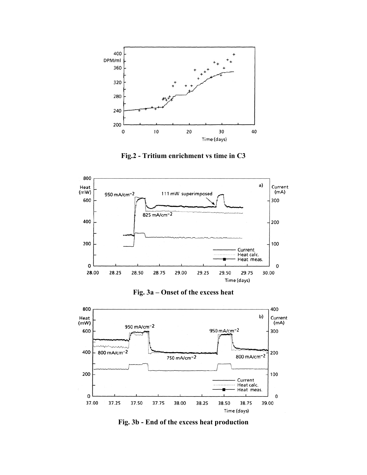

**Fig.2 - Tritium enrichment vs time in C3** 



**Fig. 3a – Onset of the excess heat** 



**Fig. 3b - End of the excess heat production**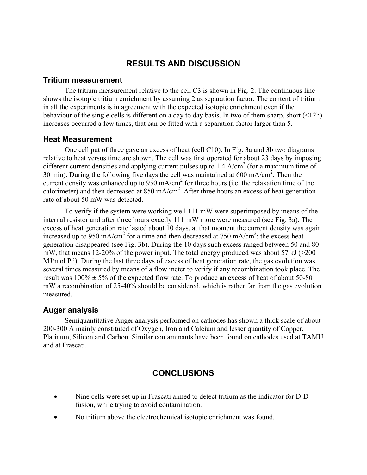# **RESULTS AND DISCUSSION**

#### **Tritium measurement**

The tritium measurement relative to the cell C3 is shown in Fig. 2. The continuous line shows the isotopic tritium enrichment by assuming 2 as separation factor. The content of tritium in all the experiments is in agreement with the expected isotopic enrichment even if the behaviour of the single cells is different on a day to day basis. In two of them sharp, short (<12h) increases occurred a few times, that can be fitted with a separation factor larger than 5.

#### **Heat Measurement**

One cell put of three gave an excess of heat (cell C10). In Fig. 3a and 3b two diagrams relative to heat versus time are shown. The cell was first operated for about 23 days by imposing different current densities and applying current pulses up to  $1.4$  A/cm<sup>2</sup> (for a maximum time of 30 min). During the following five days the cell was maintained at 600 mA/cm2 . Then the current density was enhanced up to  $950 \text{ mA/cm}^2$  for three hours (i.e. the relaxation time of the calorimeter) and then decreased at 850 mA/cm<sup>2</sup>. After three hours an excess of heat generation rate of about 50 mW was detected.

To verify if the system were working well 111 mW were superimposed by means of the internal resistor and after three hours exactly 111 mW more were measured (see Fig. 3a). The excess of heat generation rate lasted about 10 days, at that moment the current density was again increased up to 950 mA/cm<sup>2</sup> for a time and then decreased at 750 mA/cm<sup>2</sup>: the excess heat generation disappeared (see Fig. 3b). During the 10 days such excess ranged between 50 and 80 mW, that means 12-20% of the power input. The total energy produced was about 57 kJ ( $>200$ ) MJ/mol Pd). During the last three days of excess of heat generation rate, the gas evolution was several times measured by means of a flow meter to verify if any recombination took place. The result was  $100\% \pm 5\%$  of the expected flow rate. To produce an excess of heat of about 50-80 mW a recombination of 25-40% should be considered, which is rather far from the gas evolution measured.

### **Auger analysis**

Semiquantitative Auger analysis performed on cathodes has shown a thick scale of about 200-300 Å mainly constituted of Oxygen, Iron and Calcium and lesser quantity of Copper, Platinum, Silicon and Carbon. Similar contaminants have been found on cathodes used at TAMU and at Frascati.

# **CONCLUSIONS**

- Nine cells were set up in Frascati aimed to detect tritium as the indicator for D-D fusion, while trying to avoid contamination.
- No tritium above the electrochemical isotopic enrichment was found.